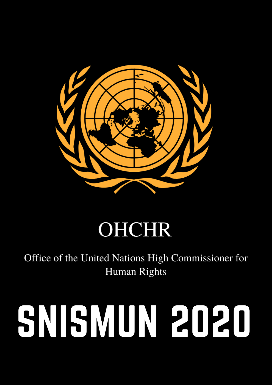

### **OHCHR**

Office of the United Nations High Commissioner for **Human Rights** 

# SNISMUN 2020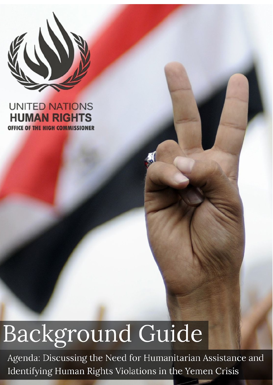

#### **UNITED NATIONS HUMAN RIGHTS** OFFICE OF THE HIGH COMMISSIONER

## Background Guide

Agenda: Discussing the Need for Humanitarian Assistance and Identifying Human Rights Violations in the Yemen Crisis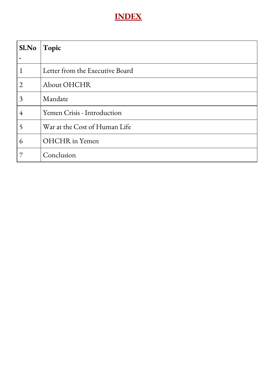#### **INDEX**

| Sl.No          | Topic                           |
|----------------|---------------------------------|
|                |                                 |
| 1              | Letter from the Executive Board |
| $\overline{2}$ | About OHCHR                     |
| 3              | Mandate                         |
| $\overline{4}$ | Yemen Crisis - Introduction     |
| 5              | War at the Cost of Human Life   |
| 6              | <b>OHCHR</b> in Yemen           |
| 7              | Conclusion                      |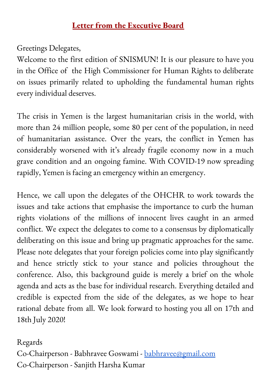#### **Letter from the Executive Board**

#### Greetings Delegates,

Welcome to the first edition of SNISMUN! It is our pleasure to have you in the Office of the High Commissioner for Human Rights to deliberate on issues primarily related to upholding the fundamental human rights every individual deserves.

The crisis in Yemen is the largest humanitarian crisis in the world, with more than 24 million people, some 80 per cent of the population, in need of humanitarian assistance. Over the years, the conflict in Yemen has considerably worsened with it' s already fragile economy now in a much grave condition and an ongoing famine. With COVID-19 now spreading rapidly, Yemen is facing an emergency within an emergency.

Hence, we call upon the delegates of the OHCHR to work towards the issues and take actions that emphasise the importance to curb the human rights violations of the millions of innocent lives caught in an armed conflict. We expect the delegates to come to a consensus by diplomatically deliberating on this issue and bring up pragmatic approaches for the same. Please note delegates that your foreign policies come into play significantly and hence strictly stick to your stance and policies throughout the conference. Also, this background guide is merely a brief on the whole agenda and acts as the base for individual research. Everything detailed and credible is expected from the side of the delegates, as we hope to hear rational debate from all. We look forward to hosting you all on 17th and 18th July 2020!

#### Regards

Co-Chairperson - Babhravee Goswami - [babhravee@gmail.com](mailto:babhravee@gmail.com) Co-Chairperson - Sanjith Harsha Kumar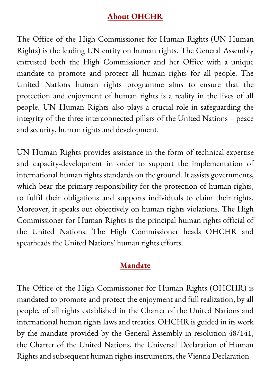#### **About OHCHR**

The Office of the High Commissioner for Human Rights (UN Human Rights) is the leading UN entity on human rights. The General Assembly entrusted both the High Commissioner and her Office with a unique mandate to promote and protect all human rights for all people. The United Nations human rights programme aims to ensure that the protection and enjoyment of human rights is a reality in the lives of all people. UN Human Rights also plays a crucial role in safeguarding the integrity of the three interconnected pillars of the United Nations – peace and security, human rights and development.

UN Human Rights provides assistance in the form of technical expertise and capacity-development in order to support the implementation of international human rights standards on the ground. It assists governments, which bear the primary responsibility for the protection of human rights, to fulfil their obligations and supports individuals to claim their rights. Moreover, it speaks out objectively on human rights violations. The High Commissioner for Human Rights is the principal human rights official of the United Nations. The High Commissioner heads OHCHR and spearheads the United Nations' human rights efforts.

#### **Mandate**

The Office of the High Commissioner for Human Rights (OHCHR) is mandated to promote and protect the enjoyment and full realization, by all people, of all rights established in the Charter of the United Nations and international human rights laws and treaties. OHCHR is guided in its work by the mandate provided by the General Assembly in resolution 48/141, the Charter of the United Nations, the Universal Declaration of Human Rights and subsequent human rights instruments, the Vienna Declaration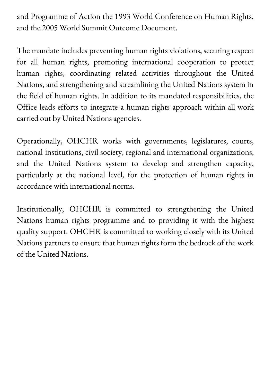and Programme of Action the 1993 World Conference on Human Rights, and the 2005 World Summit Outcome Document.

The mandate includes preventing human rights violations, securing respect for all human rights, promoting international cooperation to protect human rights, coordinating related activities throughout the United Nations, and strengthening and streamlining the United Nations system in the field of human rights. In addition to its mandated responsibilities, the Office leads efforts to integrate a human rights approach within all work carried out by United Nations agencies.

Operationally, OHCHR works with governments, legislatures, courts, national institutions, civil society, regional and international organizations, and the United Nations system to develop and strengthen capacity, particularly at the national level, for the protection of human rights in accordance with international norms.

Institutionally, OHCHR is committed to strengthening the United Nations human rights programme and to providing it with the highest quality support. OHCHR is committed to working closely with its United Nations partners to ensure that human rights form the bedrock of the work of the United Nations.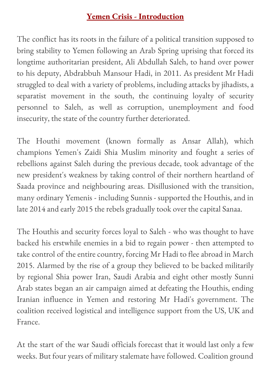#### **Yemen Crisis - Introduction**

The conflict has its roots in the failure of a political transition supposed to bring stability to Yemen following an Arab Spring uprising that forced its longtime authoritarian president, Ali Abdullah Saleh, to hand over power to his deputy, Abdrabbuh Mansour Hadi, in 2011. As president Mr Hadi struggled to deal with a variety of problems, including attacks by jihadists, a separatist movement in the south, the continuing loyalty of security personnel to Saleh, as well as corruption, unemployment and food insecurity, the state of the country further deteriorated.

The Houthi movement (known formally as Ansar Allah), which champions Yemen's Zaidi Shia Muslim minority and fought a series of rebellions against Saleh during the previous decade, took advantage of the new president's weakness by taking control of their northern heartland of Saada province and neighbouring areas. Disillusioned with the transition, many ordinary Yemenis - including Sunnis - supported the Houthis, and in late 2014 and early 2015 the rebels gradually took over the capital Sanaa.

The Houthis and security forces loyal to Saleh - who was thought to have backed his erstwhile enemies in a bid to regain power - then attempted to take control of the entire country, forcing Mr Hadi to flee abroad in March 2015. Alarmed by the rise of a group they believed to be backed militarily by regional Shia power Iran, Saudi Arabia and eight other mostly Sunni Arab states began an air campaign aimed at defeating the Houthis, ending Iranian influence in Yemen and restoring Mr Hadi's government. The coalition received logistical and intelligence support from the US, UK and France.

At the start of the war Saudi officials forecast that it would last only a few weeks. But four years of military stalemate have followed. Coalition ground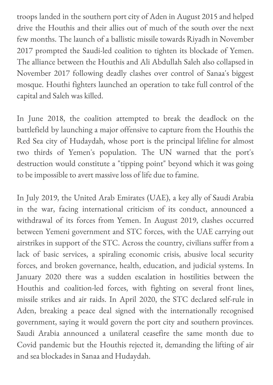troops landed in the southern port city of Aden in August 2015 and helped drive the Houthis and their allies out of much of the south over the next few months. The launch of a ballistic missile towards Riyadh in November 2017 prompted the Saudi-led coalition to tighten its blockade of Yemen. The alliance between the Houthis and Ali Abdullah Saleh also collapsed in November 2017 following deadly clashes over control of Sanaa's biggest mosque. Houthi fighters launched an operation to take full control of the capital and Saleh was killed.

In June 2018, the coalition attempted to break the deadlock on the battlefield by launching a major offensive to capture from the Houthis the Red Sea city of Hudaydah, whose port is the principal lifeline for almost two thirds of Yemen's population. The UN warned that the port's destruction would constitute a "tipping point" beyond which it was going to be impossible to avert massive loss of life due to famine.

In July 2019, the United Arab Emirates (UAE), a key ally of Saudi Arabia in the war, facing international criticism of its conduct, announced a withdrawal of its forces from Yemen. In August 2019, clashes occurred between Yemeni government and STC forces, with the UAE carrying out airstrikes in support of the STC. Across the country, civilians suffer from a lack of basic services, a spiraling economic crisis, abusive local security forces, and broken governance, health, education, and judicial systems. In January 2020 there was a sudden escalation in hostilities between the Houthis and coalition-led forces, with fighting on several front lines, missile strikes and air raids. In April 2020, the STC declared self-rule in Aden, breaking a peace deal signed with the internationally recognised government, saying it would govern the port city and southern provinces. Saudi Arabia announced a unilateral ceasefire the same month due to Covid pandemic but the Houthis rejected it, demanding the lifting of air and sea blockades in Sanaa and Hudaydah.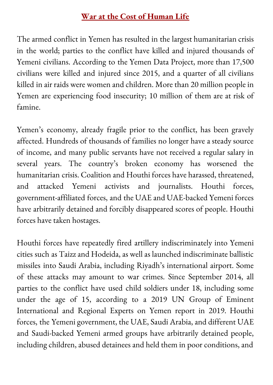#### **War at the Cost of Human Life**

The armed conflict in Yemen has resulted in the largest humanitarian crisis in the world; parties to the conflict have killed and injured thousands of Yemeni civilians. According to the Yemen Data Project, more than 17,500 civilians were killed and injured since 2015, and a quarter of all civilians killed in air raids were women and children. More than 20 million people in Yemen are experiencing food insecurity; 10 million of them are at risk of famine.

Yemen' s economy, already fragile prior to the conflict, has been gravely affected. Hundreds of thousands of families no longer have a steady source of income, and many public servants have not received a regular salary in several years. The country ' s broken economy has worsened the humanitarian crisis. Coalition and Houthi forces have harassed, threatened, and attacked Yemeni activists and journalists. Houthi forces, government-affiliated forces, and the UAE and UAE-backed Yemeni forces have arbitrarily detained and forcibly disappeared scores of people. Houthi forces have taken hostages.

Houthi forces have repeatedly fired artillery indiscriminately into Yemeni cities such as Taizz and Hodeida, as well as launched indiscriminate ballistic missiles into Saudi Arabia, including Riyadh' s international airport. Some of these attacks may amount to war crimes. Since September 2014, all parties to the conflict have used child soldiers under 18, including some under the age of 15, according to a 2019 UN Group of Eminent International and Regional Experts on Yemen report in 2019. Houthi forces, the Yemeni government, the UAE, Saudi Arabia, and different UAE and Saudi-backed Yemeni armed groups have arbitrarily detained people, including children, abused detainees and held them in poor conditions, and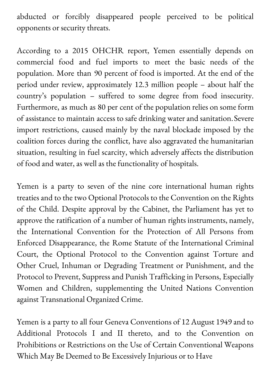abducted or forcibly disappeared people perceived to be political opponents or security threats.

According to a 2015 OHCHR report, Yemen essentially depends on commercial food and fuel imports to meet the basic needs of the population. More than 90 percent of food is imported. At the end of the period under review, approximately 12.3 million people – about half the country ' s population – suffered to some degree from food insecurity. Furthermore, as much as 80 per cent of the population relies on some form of assistance to maintain access to safe drinking water and sanitation.Severe import restrictions, caused mainly by the naval blockade imposed by the coalition forces during the conflict, have also aggravated the humanitarian situation, resulting in fuel scarcity, which adversely affects the distribution of food and water, as well as the functionality of hospitals.

Yemen is a party to seven of the nine core international human rights treaties and to the two Optional Protocols to the Convention on the Rights of the Child. Despite approval by the Cabinet, the Parliament has yet to approve the ratification of a number of human rights instruments, namely, the International Convention for the Protection of All Persons from Enforced Disappearance, the Rome Statute of the International Criminal Court, the Optional Protocol to the Convention against Torture and Other Cruel, Inhuman or Degrading Treatment or Punishment, and the Protocol to Prevent, Suppress and Punish Trafficking in Persons, Especially Women and Children, supplementing the United Nations Convention against Transnational Organized Crime.

Yemen is a party to all four Geneva Conventions of 12 August 1949 and to Additional Protocols I and II thereto, and to the Convention on Prohibitions or Restrictions on the Use of Certain Conventional Weapons Which May Be Deemed to Be Excessively Injurious or to Have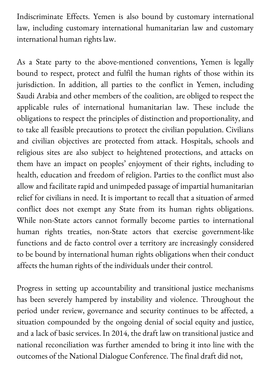Indiscriminate Effects. Yemen is also bound by customary international law, including customary international humanitarian law and customary international human rights law.

As a State party to the above-mentioned conventions, Yemen is legally bound to respect, protect and fulfil the human rights of those within its jurisdiction. In addition, all parties to the conflict in Yemen, including Saudi Arabia and other members of the coalition, are obliged to respect the applicable rules of international humanitarian law. These include the obligations to respect the principles of distinction and proportionality, and to take all feasible precautions to protect the civilian population. Civilians and civilian objectives are protected from attack. Hospitals, schools and religious sites are also subject to heightened protections, and attacks on them have an impact on peoples ' enjoyment of their rights, including to health, education and freedom of religion. Parties to the conflict must also allow and facilitate rapid and unimpeded passage of impartial humanitarian relief for civilians in need. It is important to recall that a situation of armed conflict does not exempt any State from its human rights obligations. While non-State actors cannot formally become parties to international human rights treaties, non-State actors that exercise government-like functions and de facto control over a territory are increasingly considered to be bound by international human rights obligations when their conduct affects the human rights of the individuals under their control.

Progress in setting up accountability and transitional justice mechanisms has been severely hampered by instability and violence. Throughout the period under review, governance and security continues to be affected, a situation compounded by the ongoing denial of social equity and justice, and a lack of basic services. In 2014, the draft law on transitional justice and national reconciliation was further amended to bring it into line with the outcomes of the National Dialogue Conference. The final draft did not,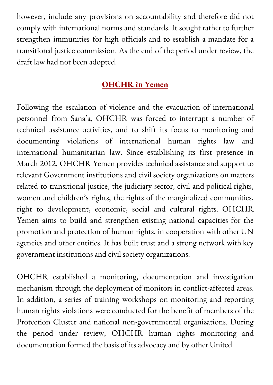however, include any provisions on accountability and therefore did not comply with international norms and standards. It sought rather to further strengthen immunities for high officials and to establish a mandate for a transitional justice commission. As the end of the period under review, the draft law had not been adopted.

#### **OHCHR in Yemen**

Following the escalation of violence and the evacuation of international personnel from Sana ' a, OHCHR was forced to interrupt a number of technical assistance activities, and to shift its focus to monitoring and documenting violations of international human rights law and international humanitarian law. Since establishing its first presence in March 2012, OHCHR Yemen provides technical assistance and support to relevant Government institutions and civil society organizations on matters related to transitional justice, the judiciary sector, civil and political rights, women and children' s rights, the rights of the marginalized communities, right to development, economic, social and cultural rights. OHCHR Yemen aims to build and strengthen existing national capacities for the promotion and protection of human rights, in cooperation with other UN agencies and other entities. It has built trust and a strong network with key government institutions and civil society organizations.

OHCHR established a monitoring, documentation and investigation mechanism through the deployment of monitors in conflict-affected areas. In addition, a series of training workshops on monitoring and reporting human rights violations were conducted for the benefit of members of the Protection Cluster and national non-governmental organizations. During the period under review, OHCHR human rights monitoring and documentation formed the basis of its advocacy and by other United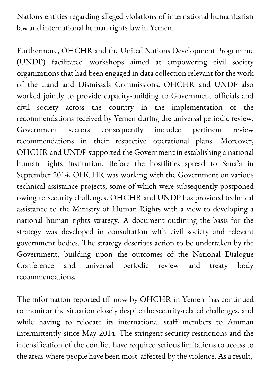Nations entities regarding alleged violations of international humanitarian law and international human rights law in Yemen.

Furthermore, OHCHR and the United Nations Development Programme (UNDP) facilitated workshops aimed at empowering civil society organizations that had been engaged in data collection relevant for the work of the Land and Dismissals Commissions. OHCHR and UNDP also worked jointly to provide capacity-building to Government officials and civil society across the country in the implementation of the recommendations received by Yemen during the universal periodic review. Government sectors consequently included pertinent review recommendations in their respective operational plans. Moreover, OHCHR and UNDP supported the Government in establishing a national human rights institution. Before the hostilities spread to Sana ' a in September 2014, OHCHR was working with the Government on various technical assistance projects, some of which were subsequently postponed owing to security challenges. OHCHR and UNDP has provided technical assistance to the Ministry of Human Rights with a view to developing a national human rights strategy. A document outlining the basis for the strategy was developed in consultation with civil society and relevant government bodies. The strategy describes action to be undertaken by the Government, building upon the outcomes of the National Dialogue Conference and universal periodic review and treaty body recommendations.

The information reported till now by OHCHR in Yemen has continued to monitor the situation closely despite the security-related challenges, and while having to relocate its international staff members to Amman intermittently since May 2014. The stringent security restrictions and the intensification of the conflict have required serious limitations to access to the areas where people have been most affected by the violence. As a result,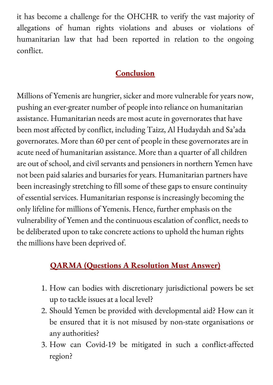it has become a challenge for the OHCHR to verify the vast majority of allegations of human rights violations and abuses or violations of humanitarian law that had been reported in relation to the ongoing conflict.

#### **Conclusion**

Millions of Yemenis are hungrier, sicker and more vulnerable for years now, pushing an ever-greater number of people into reliance on humanitarian assistance. Humanitarian needs are most acute in governorates that have been most affected by conflict, including Taizz, Al Hudaydah and Sa ' ada governorates. More than 60 per cent of people in these governorates are in acute need of humanitarian assistance. More than a quarter of all children are out of school, and civil servants and pensioners in northern Yemen have not been paid salaries and bursaries for years. Humanitarian partners have been increasingly stretching to fill some of these gaps to ensure continuity of essential services. Humanitarian response is increasingly becoming the only lifeline for millions of Yemenis. Hence, further emphasis on the vulnerability of Yemen and the continuous escalation of conflict, needs to be deliberated upon to take concrete actions to uphold the human rights the millions have been deprived of.

#### **QARMA (Questions A Resolution Must Answer)**

- 1. How can bodies with discretionary jurisdictional powers be set up to tackle issues at a local level?
- 2. Should Yemen be provided with developmental aid? How can it be ensured that it is not misused by non-state organisations or any authorities?
- 3. How can Covid-19 be mitigated in such a conflict-affected region?